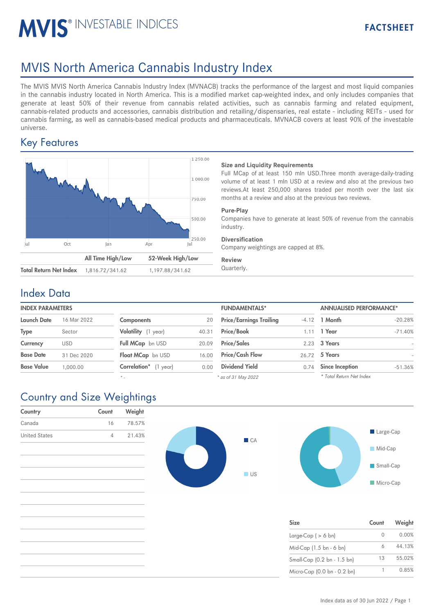# MVIS<sup>®</sup> INVESTABLE INDICES

# MVIS North America Cannabis Industry Index

The MVIS MVIS North America Cannabis Industry Index (MVNACB) tracks the performance of the largest and most liquid companies in the cannabis industry located in North America. This is a modified market cap-weighted index, and only includes companies that generate at least 50% of their revenue from cannabis related activities, such as cannabis farming and related equipment, cannabis-related products and accessories, cannabis distribution and retailing/dispensaries, real estate - including REITs - used for cannabis farming, as well as cannabis-based medical products and pharmaceuticals. MVNACB covers at least 90% of the investable universe.

## Key Features



### **Size and Liquidity Requirements**

Full MCap of at least 150 mln USD.Three month average-daily-trading volume of at least 1 mln USD at a review and also at the previous two reviews.At least 250,000 shares traded per month over the last six months at a review and also at the previous two reviews.

#### **Pure-Play**

Companies have to generate at least 50% of revenue from the cannabis industry.

### **Diversification**

Company weightings are capped at 8%.

#### **Review**

## Index Data

| <b>ANNUALISED PERFORMANCE*</b> |  |
|--------------------------------|--|
| $-4.12$ 1 Month                |  |
|                                |  |
|                                |  |
|                                |  |
| 0.74 Since Inception           |  |
| 2.23 3 Years<br>26.72 5 Years  |  |

*\* -*

| <b>FUNDAMENTALS*</b>           |       | <b>ANNUALISED PERFORMANCE*</b> |           |  |
|--------------------------------|-------|--------------------------------|-----------|--|
| <b>Price/Earnings Trailing</b> |       | $-4.12$ 1 Month                | $-20.28%$ |  |
| Price/Book                     | 1.11  | 1 Year                         | $-71.40%$ |  |
| <b>Price/Sales</b>             | 2.23  | 3 Years                        |           |  |
| <b>Price/Cash Flow</b>         | 26.72 | 5 Years                        |           |  |
| <b>Dividend Yield</b>          | 0.74  | <b>Since Inception</b>         | $-51.36%$ |  |
| as of 31 May 2022              |       | * Total Return Net Index       |           |  |

*\* as of 31 May 2022*

# Country and Size Weightings

| Country              | Count | Weight |  |  |
|----------------------|-------|--------|--|--|
| Canada               | 16    | 78.57% |  |  |
| <b>United States</b> | 4     | 21.43% |  |  |
|                      |       |        |  |  |





| <b>Size</b>                 | Count     | Weight |
|-----------------------------|-----------|--------|
| Large-Cap $( > 6$ bn)       | $\bigcap$ | 0.00%  |
| Mid-Cap (1.5 bn - 6 bn)     |           | 44.13% |
| Small-Cap (0.2 bn - 1.5 bn) | 13        | 55.02% |
| Micro-Cap (0.0 bn - 0.2 bn) |           | 0.85%  |